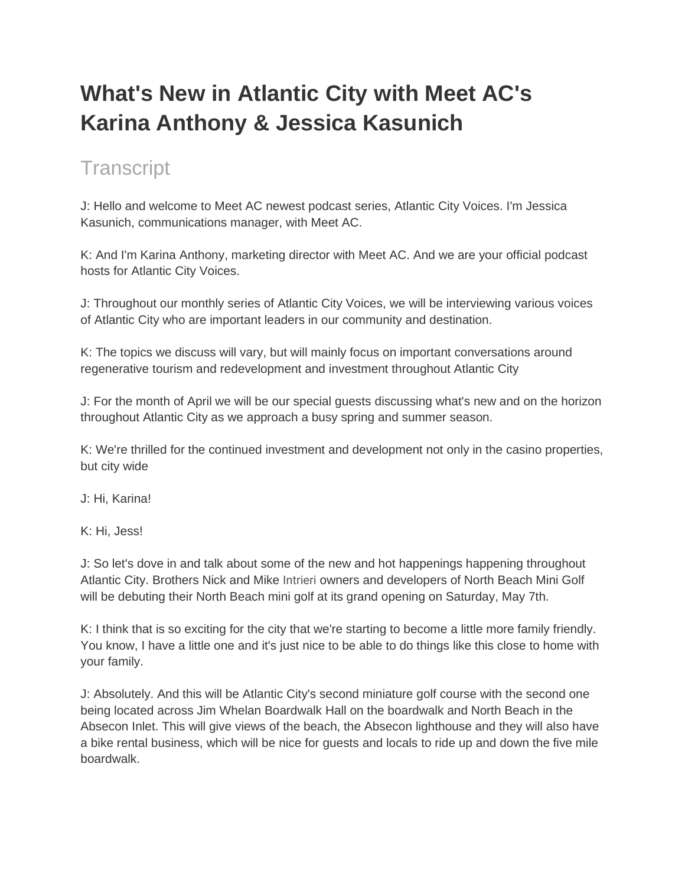## **What's New in Atlantic City with Meet AC's Karina Anthony & Jessica Kasunich**

## **Transcript**

J: Hello and welcome to Meet AC newest podcast series, Atlantic City Voices. I'm Jessica Kasunich, communications manager, with Meet AC.

K: And I'm Karina Anthony, marketing director with Meet AC. And we are your official podcast hosts for Atlantic City Voices.

J: Throughout our monthly series of Atlantic City Voices, we will be interviewing various voices of Atlantic City who are important leaders in our community and destination.

K: The topics we discuss will vary, but will mainly focus on important conversations around regenerative tourism and redevelopment and investment throughout Atlantic City

J: For the month of April we will be our special guests discussing what's new and on the horizon throughout Atlantic City as we approach a busy spring and summer season.

K: We're thrilled for the continued investment and development not only in the casino properties, but city wide

J: Hi, Karina!

K: Hi, Jess!

J: So let's dove in and talk about some of the new and hot happenings happening throughout Atlantic City. Brothers Nick and Mike Intrieri owners and developers of North Beach Mini Golf will be debuting their North Beach mini golf at its grand opening on Saturday, May 7th.

K: I think that is so exciting for the city that we're starting to become a little more family friendly. You know, I have a little one and it's just nice to be able to do things like this close to home with your family.

J: Absolutely. And this will be Atlantic City's second miniature golf course with the second one being located across Jim Whelan Boardwalk Hall on the boardwalk and North Beach in the Absecon Inlet. This will give views of the beach, the Absecon lighthouse and they will also have a bike rental business, which will be nice for guests and locals to ride up and down the five mile boardwalk.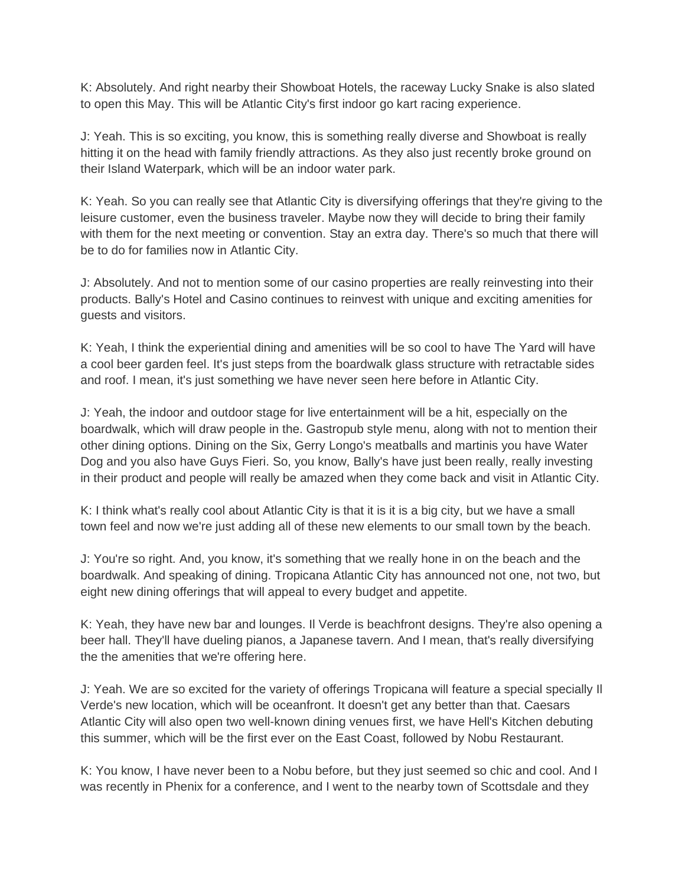K: Absolutely. And right nearby their Showboat Hotels, the raceway Lucky Snake is also slated to open this May. This will be Atlantic City's first indoor go kart racing experience.

J: Yeah. This is so exciting, you know, this is something really diverse and Showboat is really hitting it on the head with family friendly attractions. As they also just recently broke ground on their Island Waterpark, which will be an indoor water park.

K: Yeah. So you can really see that Atlantic City is diversifying offerings that they're giving to the leisure customer, even the business traveler. Maybe now they will decide to bring their family with them for the next meeting or convention. Stay an extra day. There's so much that there will be to do for families now in Atlantic City.

J: Absolutely. And not to mention some of our casino properties are really reinvesting into their products. Bally's Hotel and Casino continues to reinvest with unique and exciting amenities for guests and visitors.

K: Yeah, I think the experiential dining and amenities will be so cool to have The Yard will have a cool beer garden feel. It's just steps from the boardwalk glass structure with retractable sides and roof. I mean, it's just something we have never seen here before in Atlantic City.

J: Yeah, the indoor and outdoor stage for live entertainment will be a hit, especially on the boardwalk, which will draw people in the. Gastropub style menu, along with not to mention their other dining options. Dining on the Six, Gerry Longo's meatballs and martinis you have Water Dog and you also have Guys Fieri. So, you know, Bally's have just been really, really investing in their product and people will really be amazed when they come back and visit in Atlantic City.

K: I think what's really cool about Atlantic City is that it is it is a big city, but we have a small town feel and now we're just adding all of these new elements to our small town by the beach.

J: You're so right. And, you know, it's something that we really hone in on the beach and the boardwalk. And speaking of dining. Tropicana Atlantic City has announced not one, not two, but eight new dining offerings that will appeal to every budget and appetite.

K: Yeah, they have new bar and lounges. Il Verde is beachfront designs. They're also opening a beer hall. They'll have dueling pianos, a Japanese tavern. And I mean, that's really diversifying the the amenities that we're offering here.

J: Yeah. We are so excited for the variety of offerings Tropicana will feature a special specially Il Verde's new location, which will be oceanfront. It doesn't get any better than that. Caesars Atlantic City will also open two well-known dining venues first, we have Hell's Kitchen debuting this summer, which will be the first ever on the East Coast, followed by Nobu Restaurant.

K: You know, I have never been to a Nobu before, but they just seemed so chic and cool. And I was recently in Phenix for a conference, and I went to the nearby town of Scottsdale and they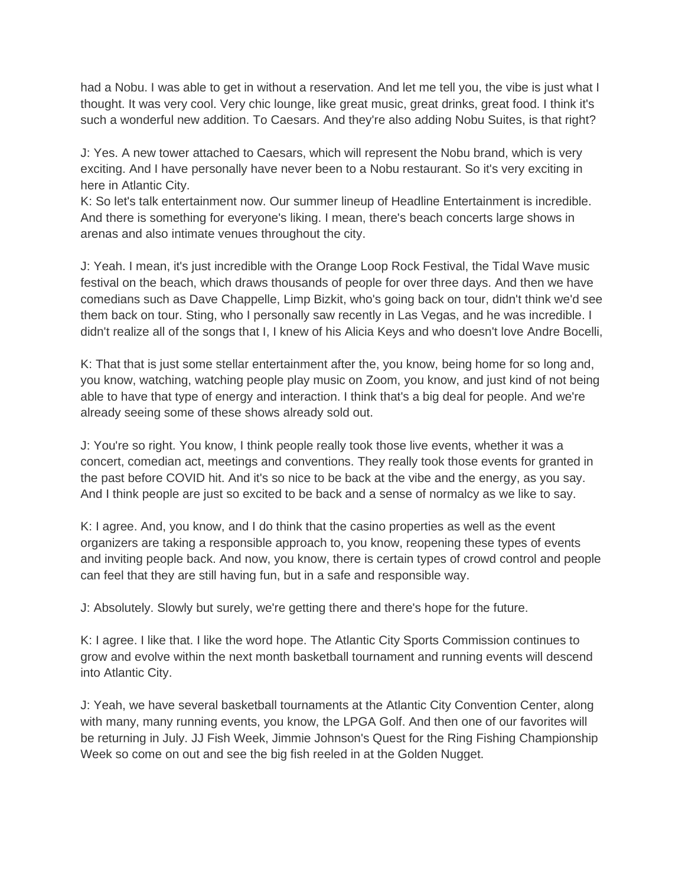had a Nobu. I was able to get in without a reservation. And let me tell you, the vibe is just what I thought. It was very cool. Very chic lounge, like great music, great drinks, great food. I think it's such a wonderful new addition. To Caesars. And they're also adding Nobu Suites, is that right?

J: Yes. A new tower attached to Caesars, which will represent the Nobu brand, which is very exciting. And I have personally have never been to a Nobu restaurant. So it's very exciting in here in Atlantic City.

K: So let's talk entertainment now. Our summer lineup of Headline Entertainment is incredible. And there is something for everyone's liking. I mean, there's beach concerts large shows in arenas and also intimate venues throughout the city.

J: Yeah. I mean, it's just incredible with the Orange Loop Rock Festival, the Tidal Wave music festival on the beach, which draws thousands of people for over three days. And then we have comedians such as Dave Chappelle, Limp Bizkit, who's going back on tour, didn't think we'd see them back on tour. Sting, who I personally saw recently in Las Vegas, and he was incredible. I didn't realize all of the songs that I, I knew of his Alicia Keys and who doesn't love Andre Bocelli,

K: That that is just some stellar entertainment after the, you know, being home for so long and, you know, watching, watching people play music on Zoom, you know, and just kind of not being able to have that type of energy and interaction. I think that's a big deal for people. And we're already seeing some of these shows already sold out.

J: You're so right. You know, I think people really took those live events, whether it was a concert, comedian act, meetings and conventions. They really took those events for granted in the past before COVID hit. And it's so nice to be back at the vibe and the energy, as you say. And I think people are just so excited to be back and a sense of normalcy as we like to say.

K: I agree. And, you know, and I do think that the casino properties as well as the event organizers are taking a responsible approach to, you know, reopening these types of events and inviting people back. And now, you know, there is certain types of crowd control and people can feel that they are still having fun, but in a safe and responsible way.

J: Absolutely. Slowly but surely, we're getting there and there's hope for the future.

K: I agree. I like that. I like the word hope. The Atlantic City Sports Commission continues to grow and evolve within the next month basketball tournament and running events will descend into Atlantic City.

J: Yeah, we have several basketball tournaments at the Atlantic City Convention Center, along with many, many running events, you know, the LPGA Golf. And then one of our favorites will be returning in July. JJ Fish Week, Jimmie Johnson's Quest for the Ring Fishing Championship Week so come on out and see the big fish reeled in at the Golden Nugget.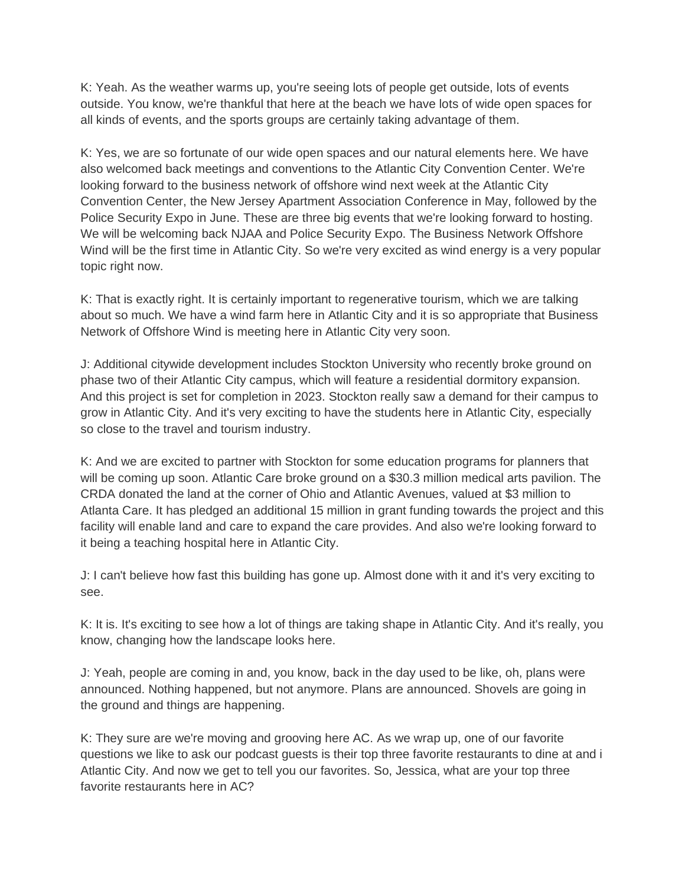K: Yeah. As the weather warms up, you're seeing lots of people get outside, lots of events outside. You know, we're thankful that here at the beach we have lots of wide open spaces for all kinds of events, and the sports groups are certainly taking advantage of them.

K: Yes, we are so fortunate of our wide open spaces and our natural elements here. We have also welcomed back meetings and conventions to the Atlantic City Convention Center. We're looking forward to the business network of offshore wind next week at the Atlantic City Convention Center, the New Jersey Apartment Association Conference in May, followed by the Police Security Expo in June. These are three big events that we're looking forward to hosting. We will be welcoming back NJAA and Police Security Expo. The Business Network Offshore Wind will be the first time in Atlantic City. So we're very excited as wind energy is a very popular topic right now.

K: That is exactly right. It is certainly important to regenerative tourism, which we are talking about so much. We have a wind farm here in Atlantic City and it is so appropriate that Business Network of Offshore Wind is meeting here in Atlantic City very soon.

J: Additional citywide development includes Stockton University who recently broke ground on phase two of their Atlantic City campus, which will feature a residential dormitory expansion. And this project is set for completion in 2023. Stockton really saw a demand for their campus to grow in Atlantic City. And it's very exciting to have the students here in Atlantic City, especially so close to the travel and tourism industry.

K: And we are excited to partner with Stockton for some education programs for planners that will be coming up soon. Atlantic Care broke ground on a \$30.3 million medical arts pavilion. The CRDA donated the land at the corner of Ohio and Atlantic Avenues, valued at \$3 million to Atlanta Care. It has pledged an additional 15 million in grant funding towards the project and this facility will enable land and care to expand the care provides. And also we're looking forward to it being a teaching hospital here in Atlantic City.

J: I can't believe how fast this building has gone up. Almost done with it and it's very exciting to see.

K: It is. It's exciting to see how a lot of things are taking shape in Atlantic City. And it's really, you know, changing how the landscape looks here.

J: Yeah, people are coming in and, you know, back in the day used to be like, oh, plans were announced. Nothing happened, but not anymore. Plans are announced. Shovels are going in the ground and things are happening.

K: They sure are we're moving and grooving here AC. As we wrap up, one of our favorite questions we like to ask our podcast guests is their top three favorite restaurants to dine at and i Atlantic City. And now we get to tell you our favorites. So, Jessica, what are your top three favorite restaurants here in AC?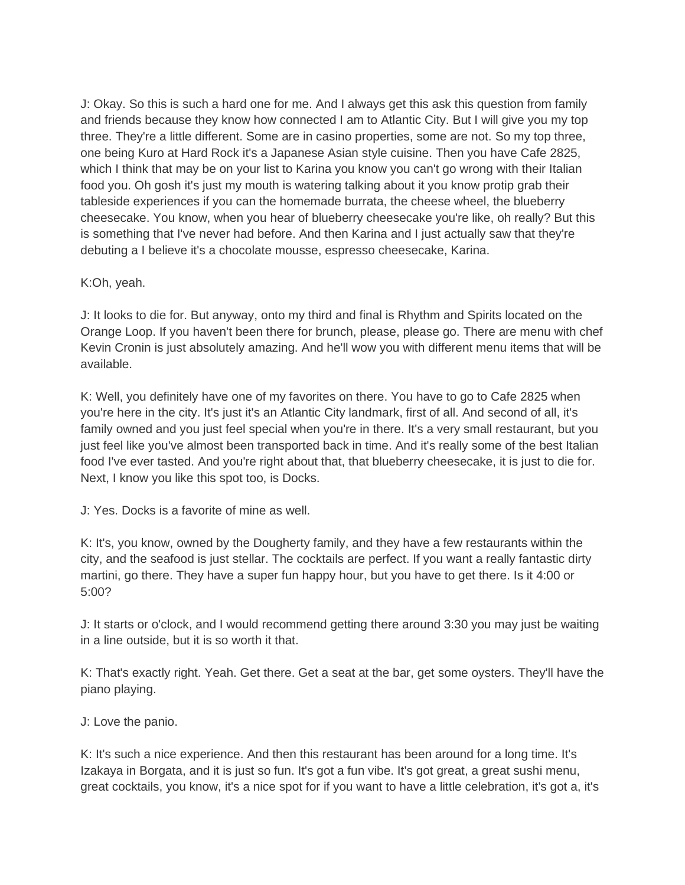J: Okay. So this is such a hard one for me. And I always get this ask this question from family and friends because they know how connected I am to Atlantic City. But I will give you my top three. They're a little different. Some are in casino properties, some are not. So my top three, one being Kuro at Hard Rock it's a Japanese Asian style cuisine. Then you have Cafe 2825, which I think that may be on your list to Karina you know you can't go wrong with their Italian food you. Oh gosh it's just my mouth is watering talking about it you know protip grab their tableside experiences if you can the homemade burrata, the cheese wheel, the blueberry cheesecake. You know, when you hear of blueberry cheesecake you're like, oh really? But this is something that I've never had before. And then Karina and I just actually saw that they're debuting a I believe it's a chocolate mousse, espresso cheesecake, Karina.

## K:Oh, yeah.

J: It looks to die for. But anyway, onto my third and final is Rhythm and Spirits located on the Orange Loop. If you haven't been there for brunch, please, please go. There are menu with chef Kevin Cronin is just absolutely amazing. And he'll wow you with different menu items that will be available.

K: Well, you definitely have one of my favorites on there. You have to go to Cafe 2825 when you're here in the city. It's just it's an Atlantic City landmark, first of all. And second of all, it's family owned and you just feel special when you're in there. It's a very small restaurant, but you just feel like you've almost been transported back in time. And it's really some of the best Italian food I've ever tasted. And you're right about that, that blueberry cheesecake, it is just to die for. Next, I know you like this spot too, is Docks.

J: Yes. Docks is a favorite of mine as well.

K: It's, you know, owned by the Dougherty family, and they have a few restaurants within the city, and the seafood is just stellar. The cocktails are perfect. If you want a really fantastic dirty martini, go there. They have a super fun happy hour, but you have to get there. Is it 4:00 or 5:00?

J: It starts or o'clock, and I would recommend getting there around 3:30 you may just be waiting in a line outside, but it is so worth it that.

K: That's exactly right. Yeah. Get there. Get a seat at the bar, get some oysters. They'll have the piano playing.

J: Love the panio.

K: It's such a nice experience. And then this restaurant has been around for a long time. It's Izakaya in Borgata, and it is just so fun. It's got a fun vibe. It's got great, a great sushi menu, great cocktails, you know, it's a nice spot for if you want to have a little celebration, it's got a, it's